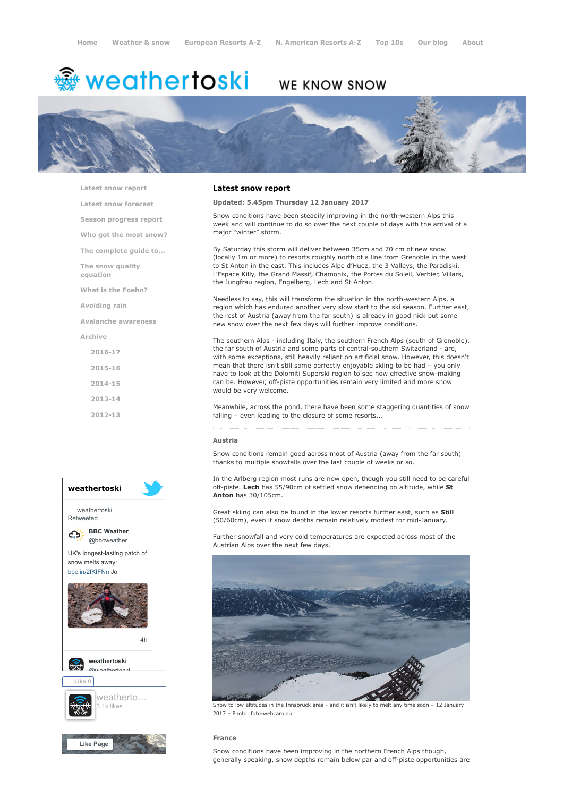# <del>鑾</del> weathertoski

# **WE KNOW SNOW**



[Latest snow report](https://www.weathertoski.co.uk/weather-snow/latest-snow-report/)

[Latest snow forecast](https://www.weathertoski.co.uk/weather-snow/latest-snow-forecast/)

[Season progress report](https://www.weathertoski.co.uk/weather-snow/season-progress-report/)

[Who got the most snow?](https://www.weathertoski.co.uk/weather-snow/who-got-the-most-snow/)

[The complete guide to...](https://www.weathertoski.co.uk/weather-snow/the-complete-guide-to/)

[The snow quality](https://www.weathertoski.co.uk/weather-snow/the-snow-quality-equation/)

[What is the Foehn?](https://www.weathertoski.co.uk/weather-snow/what-is-the-foehn/)

[Avoiding rain](https://www.weathertoski.co.uk/weather-snow/avoiding-rain/)

equation

[Avalanche awareness](https://www.weathertoski.co.uk/weather-snow/avalanche-awareness/)

[Archive](https://www.weathertoski.co.uk/weather-snow/archive/)

[2016-17](https://www.weathertoski.co.uk/weather-snow/archive/2016-17/) [2015-16](https://www.weathertoski.co.uk/weather-snow/archive/2015-16/) [2014-15](https://www.weathertoski.co.uk/weather-snow/archive/2014-15/) [2013-14](https://www.weathertoski.co.uk/weather-snow/archive/2013-14/)

[2012-13](https://www.weathertoski.co.uk/weather-snow/archive/2012-13/)



# Latest snow report

# Updated: 5.45pm Thursday 12 January 2017

Snow conditions have been steadily improving in the north-western Alps this week and will continue to do so over the next couple of days with the arrival of a major "winter" storm.

By Saturday this storm will deliver between 35cm and 70 cm of new snow (locally 1m or more) to resorts roughly north of a line from Grenoble in the west to St Anton in the east. This includes Alpe d'Huez, the 3 Valleys, the Paradiski, L'Espace Killy, the Grand Massif, Chamonix, the Portes du Soleil, Verbier, Villars, the Jungfrau region, Engelberg, Lech and St Anton.

Needless to say, this will transform the situation in the north-western Alps, a region which has endured another very slow start to the ski season. Further east, the rest of Austria (away from the far south) is already in good nick but some new snow over the next few days will further improve conditions.

The southern Alps - including Italy, the southern French Alps (south of Grenoble), the far south of Austria and some parts of central-southern Switzerland - are, with some exceptions, still heavily reliant on artificial snow. However, this doesn't mean that there isn't still some perfectly enjoyable skiing to be had – you only have to look at the Dolomiti Superski region to see how effective snow-making can be. However, off-piste opportunities remain very limited and more snow would be very welcome.

Meanwhile, across the pond, there have been some staggering quantities of snow falling – even leading to the closure of some resorts...

# Austria

Snow conditions remain good across most of Austria (away from the far south) thanks to multiple snowfalls over the last couple of weeks or so.

In the Arlberg region most runs are now open, though you still need to be careful off-piste. Lech has 55/90cm of settled snow depending on altitude, while St Anton has 30/105cm.

Great skiing can also be found in the lower resorts further east, such as Söll (50/60cm), even if snow depths remain relatively modest for mid-January.

Further snowfall and very cold temperatures are expected across most of the Austrian Alps over the next few days.



Snow to low altitudes in the Innsbruck area - and it isn't likely to melt any time soon – 12 January 2017 – Photo: foto-webcam.eu

France

Snow conditions have been improving in the northern French Alps though, generally speaking, snow depths remain below par and off-piste opportunities are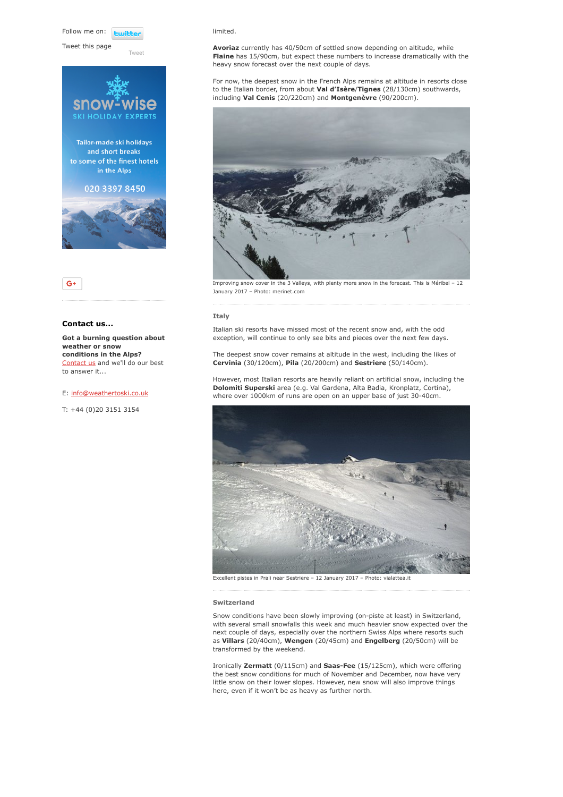Follow me on: **Fujith** 

Tweet this page

Twee





# Contact us...

Got a burning question about weather or snow conditions in the Alps? [Contact us](https://www.weathertoski.co.uk/about-1/contact-us/) and we'll do our best to answer it...

# E: [info@weathertoski.co.uk](mailto:fraser@weathertoski.co.uk)

T: +44 (0)20 3151 3154

#### limited.

Avoriaz currently has 40/50cm of settled snow depending on altitude, while Flaine has 15/90cm, but expect these numbers to increase dramatically with the heavy snow forecast over the next couple of days.

For now, the deepest snow in the French Alps remains at altitude in resorts close to the Italian border, from about Val d'Isère/Tignes (28/130cm) southwards, including Val Cenis (20/220cm) and Montgenèvre (90/200cm).



Improving snow cover in the 3 Valleys, with plenty more snow in the forecast. This is Méribel – 12 January 2017 – Photo: merinet.com

# Italy

Italian ski resorts have missed most of the recent snow and, with the odd exception, will continue to only see bits and pieces over the next few days.

The deepest snow cover remains at altitude in the west, including the likes of Cervinia (30/120cm), Pila (20/200cm) and Sestriere (50/140cm).

However, most Italian resorts are heavily reliant on artificial snow, including the Dolomiti Superski area (e.g. Val Gardena, Alta Badia, Kronplatz, Cortina), where over 1000km of runs are open on an upper base of just 30-40cm.



Excellent pistes in Prali near Sestriere – 12 January 2017 – Photo: vialattea.it

#### Switzerland

Snow conditions have been slowly improving (on-piste at least) in Switzerland, with several small snowfalls this week and much heavier snow expected over the next couple of days, especially over the northern Swiss Alps where resorts such as Villars (20/40cm), Wengen (20/45cm) and Engelberg (20/50cm) will be transformed by the weekend.

Ironically Zermatt (0/115cm) and Saas-Fee (15/125cm), which were offering the best snow conditions for much of November and December, now have very little snow on their lower slopes. However, new snow will also improve things here, even if it won't be as heavy as further north.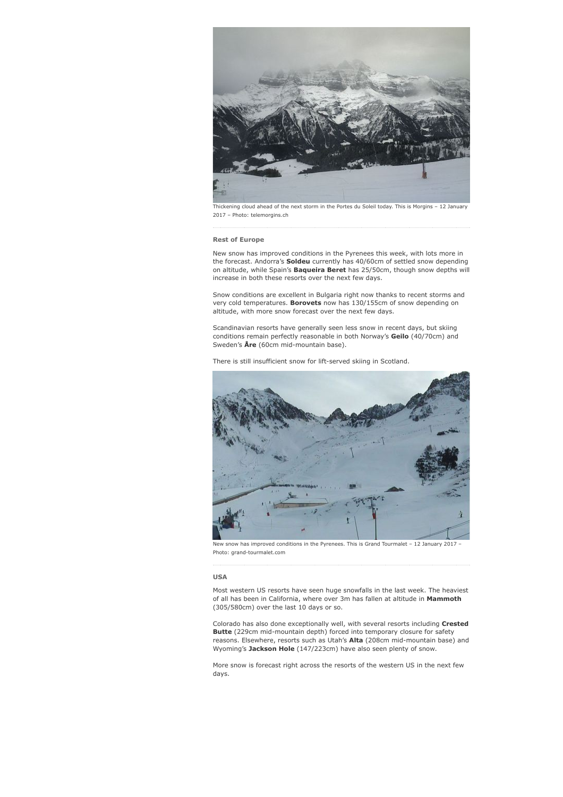

Thickening cloud ahead of the next storm in the Portes du Soleil today. This is Morgins – 12 January 2017 – Photo: telemorgins.ch

#### Rest of Europe

New snow has improved conditions in the Pyrenees this week, with lots more in the forecast. Andorra's **Soldeu** currently has 40/60cm of settled snow depending on altitude, while Spain's Baqueira Beret has 25/50cm, though snow depths will increase in both these resorts over the next few days.

Snow conditions are excellent in Bulgaria right now thanks to recent storms and very cold temperatures. Borovets now has 130/155cm of snow depending on altitude, with more snow forecast over the next few days.

Scandinavian resorts have generally seen less snow in recent days, but skiing conditions remain perfectly reasonable in both Norway's Geilo (40/70cm) and Sweden's  $\text{Åre}$  (60cm mid-mountain base).

There is still insufficient snow for lift-served skiing in Scotland.



New snow has improved conditions in the Pyrenees. This is Grand Tourmalet – 12 January 2017 – Photo: grand-tourmalet.com

# USA

Most western US resorts have seen huge snowfalls in the last week. The heaviest of all has been in California, where over 3m has fallen at altitude in Mammoth (305/580cm) over the last 10 days or so.

Colorado has also done exceptionally well, with several resorts including Crested Butte (229cm mid-mountain depth) forced into temporary closure for safety reasons. Elsewhere, resorts such as Utah's Alta (208cm mid-mountain base) and Wyoming's Jackson Hole (147/223cm) have also seen plenty of snow.

More snow is forecast right across the resorts of the western US in the next few days.